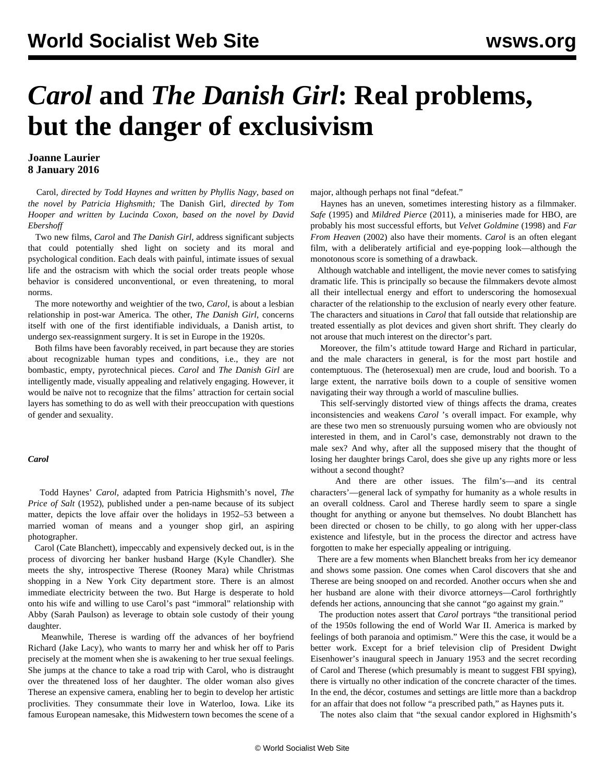# *Carol* **and** *The Danish Girl***: Real problems, but the danger of exclusivism**

# **Joanne Laurier 8 January 2016**

 Carol*, directed by Todd Haynes and written by Phyllis Nagy, based on the novel by Patricia Highsmith;* The Danish Girl*, directed by Tom Hooper and written by Lucinda Coxon, based on the novel by David Ebershoff*

 Two new films, *Carol* and *The Danish Girl*, address significant subjects that could potentially shed light on society and its moral and psychological condition. Each deals with painful, intimate issues of sexual life and the ostracism with which the social order treats people whose behavior is considered unconventional, or even threatening, to moral norms.

 The more noteworthy and weightier of the two, *Carol*, is about a lesbian relationship in post-war America. The other, *The Danish Girl*, concerns itself with one of the first identifiable individuals, a Danish artist, to undergo sex-reassignment surgery. It is set in Europe in the 1920s.

 Both films have been favorably received, in part because they are stories about recognizable human types and conditions, i.e., they are not bombastic, empty, pyrotechnical pieces. *Carol* and *The Danish Girl* are intelligently made, visually appealing and relatively engaging. However, it would be naïve not to recognize that the films' attraction for certain social layers has something to do as well with their preoccupation with questions of gender and sexuality.

## *Carol*

 Todd Haynes' *Carol*, adapted from Patricia Highsmith's novel, *The Price of Salt* (1952), published under a pen-name because of its subject matter, depicts the love affair over the holidays in 1952–53 between a married woman of means and a younger shop girl, an aspiring photographer.

 Carol (Cate Blanchett), impeccably and expensively decked out, is in the process of divorcing her banker husband Harge (Kyle Chandler). She meets the shy, introspective Therese (Rooney Mara) while Christmas shopping in a New York City department store. There is an almost immediate electricity between the two. But Harge is desperate to hold onto his wife and willing to use Carol's past "immoral" relationship with Abby (Sarah Paulson) as leverage to obtain sole custody of their young daughter.

 Meanwhile, Therese is warding off the advances of her boyfriend Richard (Jake Lacy), who wants to marry her and whisk her off to Paris precisely at the moment when she is awakening to her true sexual feelings. She jumps at the chance to take a road trip with Carol, who is distraught over the threatened loss of her daughter. The older woman also gives Therese an expensive camera, enabling her to begin to develop her artistic proclivities. They consummate their love in Waterloo, Iowa. Like its famous European namesake, this Midwestern town becomes the scene of a major, although perhaps not final "defeat."

 Haynes has an uneven, sometimes interesting history as a filmmaker. *Safe* (1995) and *Mildred Pierce* (2011), a miniseries made for HBO, are probably his most successful efforts, but *Velvet Goldmine* (1998) and *Far From Heaven* (2002) also have their moments. *Carol* is an often elegant film, with a deliberately artificial and eye-popping look—although the monotonous score is something of a drawback.

 Although watchable and intelligent, the movie never comes to satisfying dramatic life. This is principally so because the filmmakers devote almost all their intellectual energy and effort to underscoring the homosexual character of the relationship to the exclusion of nearly every other feature. The characters and situations in *Carol* that fall outside that relationship are treated essentially as plot devices and given short shrift. They clearly do not arouse that much interest on the director's part.

 Moreover, the film's attitude toward Harge and Richard in particular, and the male characters in general, is for the most part hostile and contemptuous. The (heterosexual) men are crude, loud and boorish. To a large extent, the narrative boils down to a couple of sensitive women navigating their way through a world of masculine bullies.

 This self-servingly distorted view of things affects the drama, creates inconsistencies and weakens *Carol* 's overall impact. For example, why are these two men so strenuously pursuing women who are obviously not interested in them, and in Carol's case, demonstrably not drawn to the male sex? And why, after all the supposed misery that the thought of losing her daughter brings Carol, does she give up any rights more or less without a second thought?

 And there are other issues. The film's—and its central characters'—general lack of sympathy for humanity as a whole results in an overall coldness. Carol and Therese hardly seem to spare a single thought for anything or anyone but themselves. No doubt Blanchett has been directed or chosen to be chilly, to go along with her upper-class existence and lifestyle, but in the process the director and actress have forgotten to make her especially appealing or intriguing.

 There are a few moments when Blanchett breaks from her icy demeanor and shows some passion. One comes when Carol discovers that she and Therese are being snooped on and recorded. Another occurs when she and her husband are alone with their divorce attorneys—Carol forthrightly defends her actions, announcing that she cannot "go against my grain."

 The production notes assert that *Carol* portrays "the transitional period of the 1950s following the end of World War II. America is marked by feelings of both paranoia and optimism." Were this the case, it would be a better work. Except for a brief television clip of President Dwight Eisenhower's inaugural speech in January 1953 and the secret recording of Carol and Therese (which presumably is meant to suggest FBI spying), there is virtually no other indication of the concrete character of the times. In the end, the décor, costumes and settings are little more than a backdrop for an affair that does not follow "a prescribed path," as Haynes puts it.

The notes also claim that "the sexual candor explored in Highsmith's